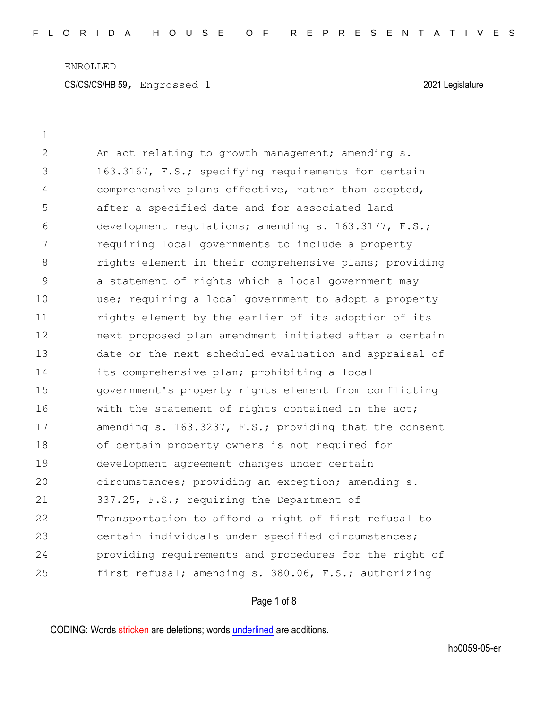| $\mathbf 1$    |                                                        |
|----------------|--------------------------------------------------------|
| $\overline{2}$ | An act relating to growth management; amending s.      |
| 3              | 163.3167, F.S.; specifying requirements for certain    |
| 4              | comprehensive plans effective, rather than adopted,    |
| 5              | after a specified date and for associated land         |
| 6              | development regulations; amending s. 163.3177, F.S.;   |
| 7              | requiring local governments to include a property      |
| 8              | rights element in their comprehensive plans; providing |
| $\mathcal{G}$  | a statement of rights which a local government may     |
| 10             | use; requiring a local government to adopt a property  |
| 11             | rights element by the earlier of its adoption of its   |
| 12             | next proposed plan amendment initiated after a certain |
| 13             | date or the next scheduled evaluation and appraisal of |
| 14             | its comprehensive plan; prohibiting a local            |
| 15             | government's property rights element from conflicting  |
| 16             | with the statement of rights contained in the act;     |
| 17             | amending s. 163.3237, F.S.; providing that the consent |
| 18             | of certain property owners is not required for         |
| 19             | development agreement changes under certain            |
| 20             | circumstances; providing an exception; amending s.     |
| 21             | 337.25, F.S.; requiring the Department of              |
| 22             | Transportation to afford a right of first refusal to   |
| 23             | certain individuals under specified circumstances;     |
| 24             | providing requirements and procedures for the right of |
| 25             | first refusal; amending s. 380.06, F.S.; authorizing   |

## Page 1 of 8

CODING: Words stricken are deletions; words underlined are additions.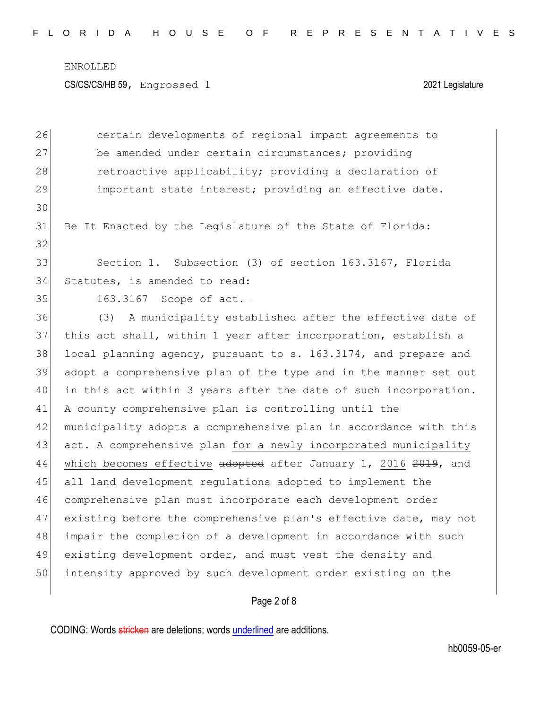ENROLLED

CS/CS/CS/HB 59, Engrossed 1 2021 Legislature

26 certain developments of regional impact agreements to 27 be amended under certain circumstances; providing 28 retroactive applicability; providing a declaration of 29 important state interest; providing an effective date. 30 31 Be It Enacted by the Legislature of the State of Florida: 32 33 Section 1. Subsection (3) of section 163.3167, Florida 34 Statutes, is amended to read: 35 163.3167 Scope of act. 36 (3) A municipality established after the effective date of 37 this act shall, within 1 year after incorporation, establish a  $38$  local planning agency, pursuant to s. 163.3174, and prepare and 39 adopt a comprehensive plan of the type and in the manner set out 40 in this act within 3 years after the date of such incorporation. 41 A county comprehensive plan is controlling until the 42 municipality adopts a comprehensive plan in accordance with this 43 act. A comprehensive plan for a newly incorporated municipality 44 which becomes effective adopted after January 1, 2016 2019, and 45 all land development regulations adopted to implement the 46 comprehensive plan must incorporate each development order 47 existing before the comprehensive plan's effective date, may not 48 impair the completion of a development in accordance with such 49 existing development order, and must vest the density and 50 intensity approved by such development order existing on the

Page 2 of 8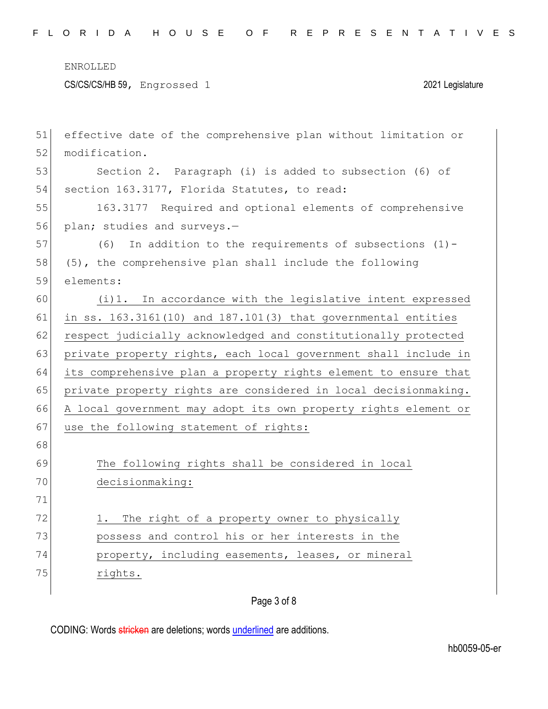| 51 | effective date of the comprehensive plan without limitation or  |
|----|-----------------------------------------------------------------|
| 52 | modification.                                                   |
| 53 | Section 2. Paragraph (i) is added to subsection (6) of          |
| 54 | section 163.3177, Florida Statutes, to read:                    |
| 55 | 163.3177 Required and optional elements of comprehensive        |
| 56 | plan; studies and surveys.-                                     |
| 57 | (6)<br>In addition to the requirements of subsections $(1)$ -   |
| 58 | (5), the comprehensive plan shall include the following         |
| 59 | elements:                                                       |
| 60 | (i)1. In accordance with the legislative intent expressed       |
| 61 | in ss. 163.3161(10) and 187.101(3) that governmental entities   |
| 62 | respect judicially acknowledged and constitutionally protected  |
| 63 | private property rights, each local government shall include in |
| 64 | its comprehensive plan a property rights element to ensure that |
| 65 | private property rights are considered in local decisionmaking. |
| 66 | A local government may adopt its own property rights element or |
| 67 | use the following statement of rights:                          |
| 68 |                                                                 |
| 69 | The following rights shall be considered in local               |
| 70 | decisionmaking:                                                 |
| 71 |                                                                 |
| 72 | The right of a property owner to physically<br>$\perp$ .        |
| 73 | possess and control his or her interests in the                 |
| 74 | property, including easements, leases, or mineral               |
| 75 | rights.                                                         |
|    |                                                                 |

Page 3 of 8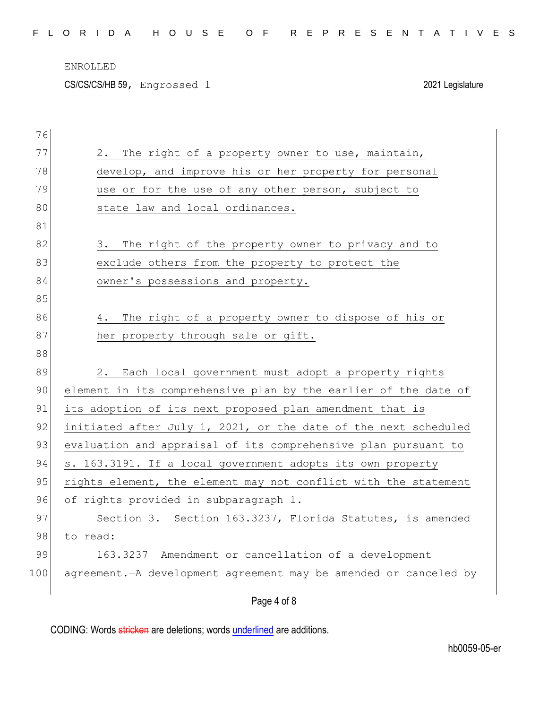ENROLLED

CS/CS/CS/HB 59, Engrossed 1 2021 Legislature

| 76  |                                                                    |
|-----|--------------------------------------------------------------------|
| 77  | 2.<br>The right of a property owner to use, maintain,              |
| 78  | develop, and improve his or her property for personal              |
| 79  | use or for the use of any other person, subject to                 |
| 80  | state law and local ordinances.                                    |
| 81  |                                                                    |
| 82  | 3. The right of the property owner to privacy and to               |
| 83  | exclude others from the property to protect the                    |
| 84  | owner's possessions and property.                                  |
| 85  |                                                                    |
| 86  | 4. The right of a property owner to dispose of his or              |
| 87  | her property through sale or gift.                                 |
| 88  |                                                                    |
| 89  | 2. Each local government must adopt a property rights              |
| 90  | element in its comprehensive plan by the earlier of the date of    |
| 91  | its adoption of its next proposed plan amendment that is           |
| 92  | initiated after July 1, 2021, or the date of the next scheduled    |
| 93  | evaluation and appraisal of its comprehensive plan pursuant to     |
| 94  | s. 163.3191. If a local government adopts its own property         |
| 95  | rights element, the element may not conflict with the statement    |
| 96  | of rights provided in subparagraph 1.                              |
| 97  | Section 3. Section 163.3237, Florida Statutes, is amended          |
| 98  | to read:                                                           |
| 99  | 163.3237 Amendment or cancellation of a development                |
| 100 | agreement. - A development agreement may be amended or canceled by |
|     | Page 4 of 8                                                        |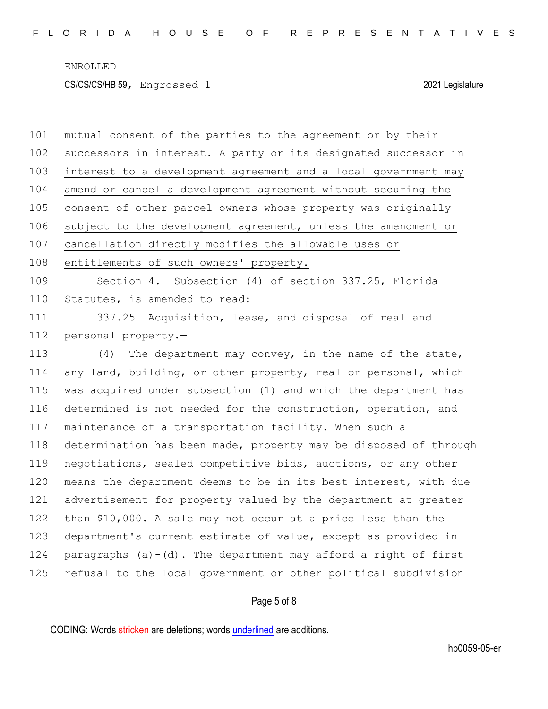101 mutual consent of the parties to the agreement or by their 102 successors in interest. A party or its designated successor in 103 interest to a development agreement and a local government may 104 amend or cancel a development agreement without securing the 105 consent of other parcel owners whose property was originally 106 subject to the development agreement, unless the amendment or 107 cancellation directly modifies the allowable uses or 108 entitlements of such owners' property. 109 Section 4. Subsection (4) of section 337.25, Florida 110 Statutes, is amended to read: 111 337.25 Acquisition, lease, and disposal of real and 112 personal property.-113 (4) The department may convey, in the name of the state, 114 any land, building, or other property, real or personal, which 115 was acquired under subsection (1) and which the department has 116 determined is not needed for the construction, operation, and 117 maintenance of a transportation facility. When such a 118 determination has been made, property may be disposed of through 119 negotiations, sealed competitive bids, auctions, or any other 120 means the department deems to be in its best interest, with due 121 advertisement for property valued by the department at greater 122 than \$10,000. A sale may not occur at a price less than the 123 department's current estimate of value, except as provided in 124 paragraphs  $(a) - (d)$ . The department may afford a right of first 125 refusal to the local government or other political subdivision

## Page 5 of 8

CODING: Words stricken are deletions; words underlined are additions.

hb0059-05-er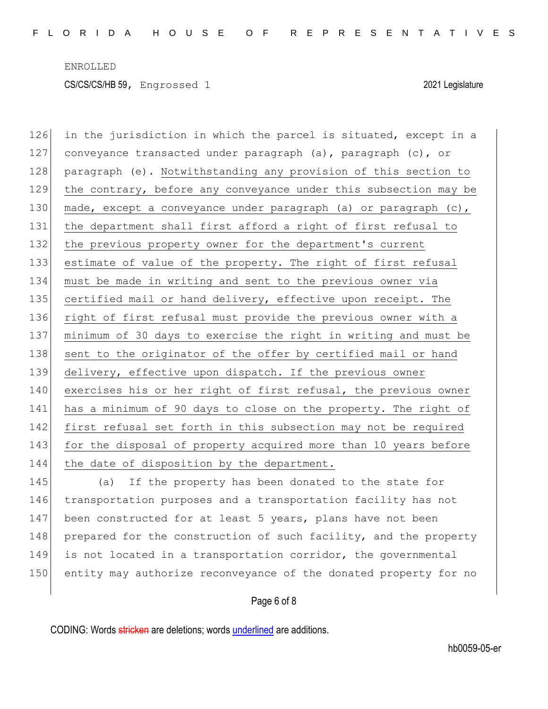126 in the jurisdiction in which the parcel is situated, except in a 127 conveyance transacted under paragraph (a), paragraph (c), or 128 paragraph (e). Notwithstanding any provision of this section to 129 the contrary, before any conveyance under this subsection may be 130 made, except a conveyance under paragraph (a) or paragraph  $(c)$ , 131 the department shall first afford a right of first refusal to 132 the previous property owner for the department's current 133 estimate of value of the property. The right of first refusal 134 must be made in writing and sent to the previous owner via 135 certified mail or hand delivery, effective upon receipt. The 136 right of first refusal must provide the previous owner with a 137 minimum of 30 days to exercise the right in writing and must be 138 sent to the originator of the offer by certified mail or hand 139 delivery, effective upon dispatch. If the previous owner 140 exercises his or her right of first refusal, the previous owner 141 has a minimum of 90 days to close on the property. The right of 142 first refusal set forth in this subsection may not be required 143 for the disposal of property acquired more than 10 years before 144 the date of disposition by the department. 145 (a) If the property has been donated to the state for

146 transportation purposes and a transportation facility has not 147 been constructed for at least 5 years, plans have not been 148 prepared for the construction of such facility, and the property 149 is not located in a transportation corridor, the governmental 150 entity may authorize reconveyance of the donated property for no

## Page 6 of 8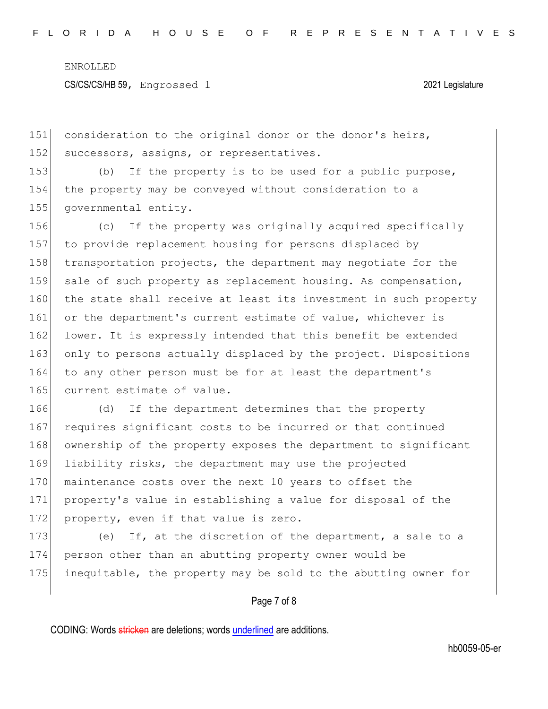151 consideration to the original donor or the donor's heirs, 152 successors, assigns, or representatives.

153 (b) If the property is to be used for a public purpose, 154 the property may be conveyed without consideration to a 155 governmental entity.

156 (c) If the property was originally acquired specifically 157 to provide replacement housing for persons displaced by 158 transportation projects, the department may negotiate for the 159 sale of such property as replacement housing. As compensation, 160 the state shall receive at least its investment in such property 161 or the department's current estimate of value, whichever is 162 lower. It is expressly intended that this benefit be extended 163 only to persons actually displaced by the project. Dispositions 164 to any other person must be for at least the department's 165 current estimate of value.

166 (d) If the department determines that the property 167 requires significant costs to be incurred or that continued 168 ownership of the property exposes the department to significant 169 liability risks, the department may use the projected 170 maintenance costs over the next 10 years to offset the 171 property's value in establishing a value for disposal of the 172 property, even if that value is zero.

173 (e) If, at the discretion of the department, a sale to a 174 person other than an abutting property owner would be 175 inequitable, the property may be sold to the abutting owner for

## Page 7 of 8